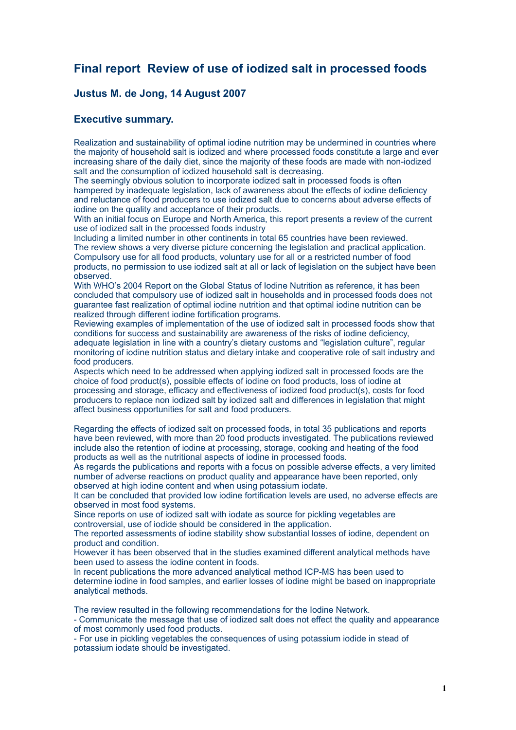# **Final report Review of use of iodized salt in processed foods**

# **Justus M. de Jong, 14 August 2007**

# **Executive summary.**

Realization and sustainability of optimal iodine nutrition may be undermined in countries where the majority of household salt is iodized and where processed foods constitute a large and ever increasing share of the daily diet, since the majority of these foods are made with non-iodized salt and the consumption of iodized household salt is decreasing.

The seemingly obvious solution to incorporate iodized salt in processed foods is often hampered by inadequate legislation, lack of awareness about the effects of iodine deficiency and reluctance of food producers to use iodized salt due to concerns about adverse effects of iodine on the quality and acceptance of their products.

With an initial focus on Europe and North America, this report presents a review of the current use of iodized salt in the processed foods industry

Including a limited number in other continents in total 65 countries have been reviewed. The review shows a very diverse picture concerning the legislation and practical application. Compulsory use for all food products, voluntary use for all or a restricted number of food products, no permission to use iodized salt at all or lack of legislation on the subject have been observed.

With WHO's 2004 Report on the Global Status of Iodine Nutrition as reference, it has been concluded that compulsory use of iodized salt in households and in processed foods does not guarantee fast realization of optimal iodine nutrition and that optimal iodine nutrition can be realized through different iodine fortification programs.

Reviewing examples of implementation of the use of iodized salt in processed foods show that conditions for success and sustainability are awareness of the risks of iodine deficiency, adequate legislation in line with a country's dietary customs and "legislation culture", regular monitoring of iodine nutrition status and dietary intake and cooperative role of salt industry and food producers.

Aspects which need to be addressed when applying iodized salt in processed foods are the choice of food product(s), possible effects of iodine on food products, loss of iodine at processing and storage, efficacy and effectiveness of iodized food product(s), costs for food producers to replace non iodized salt by iodized salt and differences in legislation that might affect business opportunities for salt and food producers.

Regarding the effects of iodized salt on processed foods, in total 35 publications and reports have been reviewed, with more than 20 food products investigated. The publications reviewed include also the retention of iodine at processing, storage, cooking and heating of the food products as well as the nutritional aspects of iodine in processed foods.

As regards the publications and reports with a focus on possible adverse effects, a very limited number of adverse reactions on product quality and appearance have been reported, only observed at high iodine content and when using potassium iodate.

It can be concluded that provided low iodine fortification levels are used, no adverse effects are observed in most food systems.

Since reports on use of iodized salt with iodate as source for pickling vegetables are controversial, use of iodide should be considered in the application.

The reported assessments of iodine stability show substantial losses of iodine, dependent on product and condition.

However it has been observed that in the studies examined different analytical methods have been used to assess the iodine content in foods.

In recent publications the more advanced analytical method ICP-MS has been used to determine iodine in food samples, and earlier losses of iodine might be based on inappropriate analytical methods.

The review resulted in the following recommendations for the Iodine Network.

- Communicate the message that use of iodized salt does not effect the quality and appearance of most commonly used food products.

- For use in pickling vegetables the consequences of using potassium iodide in stead of potassium iodate should be investigated.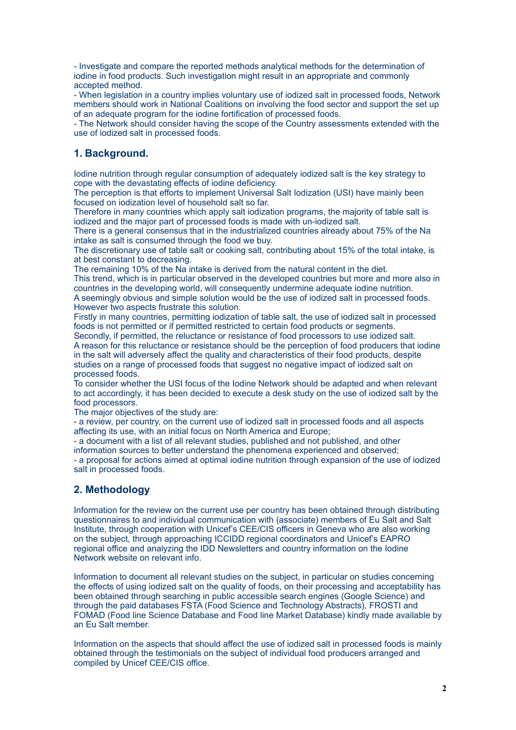- Investigate and compare the reported methods analytical methods for the determination of iodine in food products. Such investigation might result in an appropriate and commonly accepted method.

- When legislation in a country implies voluntary use of iodized salt in processed foods, Network members should work in National Coalitions on involving the food sector and support the set up of an adequate program for the iodine fortification of processed foods.

- The Network should consider having the scope of the Country assessments extended with the use of iodized salt in processed foods.

# **1. Background.**

Iodine nutrition through regular consumption of adequately iodized salt is the key strategy to cope with the devastating effects of iodine deficiency.

The perception is that efforts to implement Universal Salt Iodization (USI) have mainly been focused on iodization level of household salt so far.

Therefore in many countries which apply salt iodization programs, the majority of table salt is iodized and the major part of processed foods is made with un-iodized salt.

There is a general consensus that in the industrialized countries already about 75% of the Na intake as salt is consumed through the food we buy.

The discretionary use of table salt or cooking salt, contributing about 15% of the total intake, is at best constant to decreasing.

The remaining 10% of the Na intake is derived from the natural content in the diet.

This trend, which is in particular observed in the developed countries but more and more also in countries in the developing world, will consequently undermine adequate iodine nutrition. A seemingly obvious and simple solution would be the use of iodized salt in processed foods. However two aspects frustrate this solution.

Firstly in many countries, permitting iodization of table salt, the use of iodized salt in processed foods is not permitted or if permitted restricted to certain food products or segments.

Secondly, if permitted, the reluctance or resistance of food processors to use iodized salt. A reason for this reluctance or resistance should be the perception of food producers that iodine in the salt will adversely affect the quality and characteristics of their food products, despite studies on a range of processed foods that suggest no negative impact of iodized salt on processed foods.

To consider whether the USI focus of the Iodine Network should be adapted and when relevant to act accordingly, it has been decided to execute a desk study on the use of iodized salt by the food processors.

The major objectives of the study are:

- a review, per country, on the current use of iodized salt in processed foods and all aspects affecting its use, with an initial focus on North America and Europe;

- a document with a list of all relevant studies, published and not published, and other

information sources to better understand the phenomena experienced and observed;

- a proposal for actions aimed at optimal iodine nutrition through expansion of the use of iodized salt in processed foods.

# **2. Methodology**

Information for the review on the current use per country has been obtained through distributing questionnaires to and individual communication with (associate) members of Eu Salt and Salt Institute, through cooperation with Unicef's CEE/CIS officers in Geneva who are also working on the subject, through approaching ICCIDD regional coordinators and Unicef's EAPRO regional office and analyzing the IDD Newsletters and country information on the Iodine Network website on relevant info.

Information to document all relevant studies on the subject, in particular on studies concerning the effects of using iodized salt on the quality of foods, on their processing and acceptability has been obtained through searching in public accessible search engines (Google Science) and through the paid databases FSTA (Food Science and Technology Abstracts), FROSTI and FOMAD (Food line Science Database and Food line Market Database) kindly made available by an Eu Salt member.

Information on the aspects that should affect the use of iodized salt in processed foods is mainly obtained through the testimonials on the subject of individual food producers arranged and compiled by Unicef CEE/CIS office.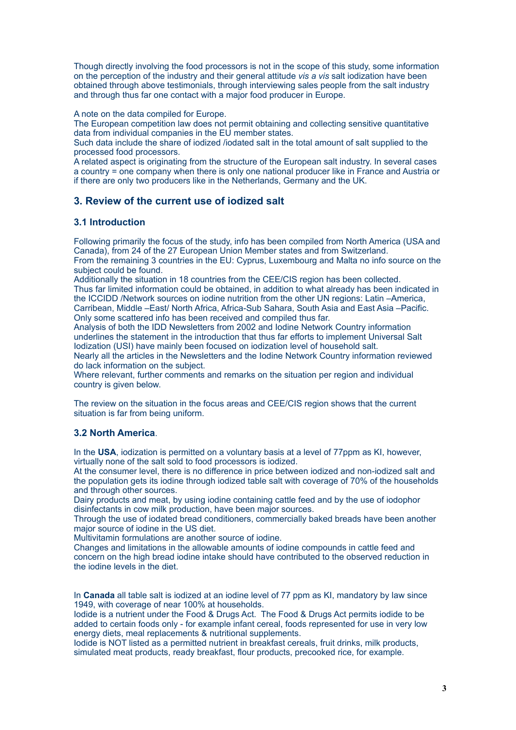Though directly involving the food processors is not in the scope of this study, some information on the perception of the industry and their general attitude *vis a vis* salt iodization have been obtained through above testimonials, through interviewing sales people from the salt industry and through thus far one contact with a major food producer in Europe.

A note on the data compiled for Europe.

The European competition law does not permit obtaining and collecting sensitive quantitative data from individual companies in the EU member states.

Such data include the share of iodized /iodated salt in the total amount of salt supplied to the processed food processors.

A related aspect is originating from the structure of the European salt industry. In several cases a country = one company when there is only one national producer like in France and Austria or if there are only two producers like in the Netherlands, Germany and the UK.

# **3. Review of the current use of iodized salt**

# **3.1 Introduction**

Following primarily the focus of the study, info has been compiled from North America (USA and Canada), from 24 of the 27 European Union Member states and from Switzerland. From the remaining 3 countries in the EU: Cyprus, Luxembourg and Malta no info source on the

subject could be found. Additionally the situation in 18 countries from the CEE/CIS region has been collected. Thus far limited information could be obtained, in addition to what already has been indicated in the ICCIDD /Network sources on iodine nutrition from the other UN regions: Latin –America, Carribean, Middle –East/ North Africa, Africa-Sub Sahara, South Asia and East Asia –Pacific.

Only some scattered info has been received and compiled thus far.

Analysis of both the IDD Newsletters from 2002 and Iodine Network Country information underlines the statement in the introduction that thus far efforts to implement Universal Salt Iodization (USI) have mainly been focused on iodization level of household salt.

Nearly all the articles in the Newsletters and the Iodine Network Country information reviewed do lack information on the subject.

Where relevant, further comments and remarks on the situation per region and individual country is given below.

The review on the situation in the focus areas and CEE/CIS region shows that the current situation is far from being uniform.

# **3.2 North America**.

In the **USA**, iodization is permitted on a voluntary basis at a level of 77ppm as KI, however, virtually none of the salt sold to food processors is iodized.

At the consumer level, there is no difference in price between iodized and non-iodized salt and the population gets its iodine through iodized table salt with coverage of 70% of the households and through other sources.

Dairy products and meat, by using iodine containing cattle feed and by the use of iodophor disinfectants in cow milk production, have been major sources.

Through the use of iodated bread conditioners, commercially baked breads have been another major source of iodine in the US diet.

Multivitamin formulations are another source of iodine.

Changes and limitations in the allowable amounts of iodine compounds in cattle feed and concern on the high bread iodine intake should have contributed to the observed reduction in the iodine levels in the diet.

In **Canada** all table salt is iodized at an iodine level of 77 ppm as KI, mandatory by law since 1949, with coverage of near 100% at households.

Iodide is a nutrient under the Food & Drugs Act. The Food & Drugs Act permits iodide to be added to certain foods only - for example infant cereal, foods represented for use in very low energy diets, meal replacements & nutritional supplements.

Iodide is NOT listed as a permitted nutrient in breakfast cereals, fruit drinks, milk products, simulated meat products, ready breakfast, flour products, precooked rice, for example.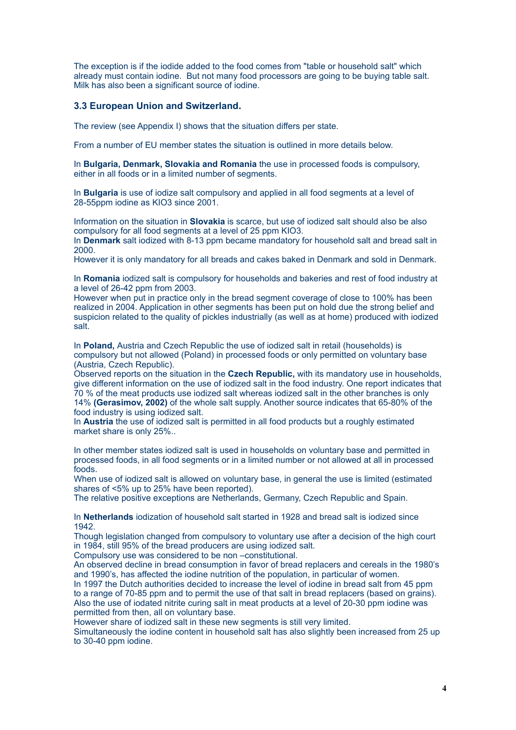The exception is if the iodide added to the food comes from "table or household salt" which already must contain iodine. But not many food processors are going to be buying table salt. Milk has also been a significant source of iodine.

### **3.3 European Union and Switzerland.**

The review (see Appendix I) shows that the situation differs per state.

From a number of EU member states the situation is outlined in more details below.

In **Bulgaria, Denmark, Slovakia and Romania** the use in processed foods is compulsory, either in all foods or in a limited number of segments.

In **Bulgaria** is use of iodize salt compulsory and applied in all food segments at a level of 28-55ppm iodine as KIO3 since 2001.

Information on the situation in **Slovakia** is scarce, but use of iodized salt should also be also compulsory for all food segments at a level of 25 ppm KIO3.

In **Denmark** salt iodized with 8-13 ppm became mandatory for household salt and bread salt in 2000.

However it is only mandatory for all breads and cakes baked in Denmark and sold in Denmark.

In **Romania** iodized salt is compulsory for households and bakeries and rest of food industry at a level of 26-42 ppm from 2003.

However when put in practice only in the bread segment coverage of close to 100% has been realized in 2004. Application in other segments has been put on hold due the strong belief and suspicion related to the quality of pickles industrially (as well as at home) produced with iodized salt.

In **Poland,** Austria and Czech Republic the use of iodized salt in retail (households) is compulsory but not allowed (Poland) in processed foods or only permitted on voluntary base (Austria, Czech Republic).

Observed reports on the situation in the **Czech Republic,** with its mandatory use in households, give different information on the use of iodized salt in the food industry. One report indicates that 70 % of the meat products use iodized salt whereas iodized salt in the other branches is only 14% **(Gerasimov, 2002)** of the whole salt supply. Another source indicates that 65-80% of the food industry is using iodized salt.

In **Austria** the use of iodized salt is permitted in all food products but a roughly estimated market share is only 25%..

In other member states iodized salt is used in households on voluntary base and permitted in processed foods, in all food segments or in a limited number or not allowed at all in processed foods.

When use of iodized salt is allowed on voluntary base, in general the use is limited (estimated shares of <5% up to 25% have been reported).

The relative positive exceptions are Netherlands, Germany, Czech Republic and Spain.

In **Netherlands** iodization of household salt started in 1928 and bread salt is iodized since 1942.

Though legislation changed from compulsory to voluntary use after a decision of the high court in 1984, still 95% of the bread producers are using iodized salt.

Compulsory use was considered to be non –constitutional.

An observed decline in bread consumption in favor of bread replacers and cereals in the 1980's and 1990's, has affected the iodine nutrition of the population, in particular of women.

In 1997 the Dutch authorities decided to increase the level of iodine in bread salt from 45 ppm to a range of 70-85 ppm and to permit the use of that salt in bread replacers (based on grains). Also the use of iodated nitrite curing salt in meat products at a level of 20-30 ppm iodine was permitted from then, all on voluntary base.

However share of iodized salt in these new segments is still very limited.

Simultaneously the iodine content in household salt has also slightly been increased from 25 up to 30-40 ppm iodine.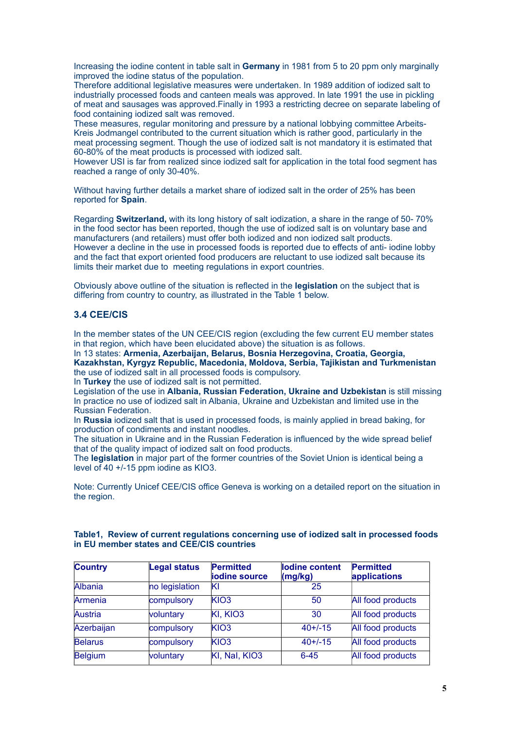Increasing the iodine content in table salt in **Germany** in 1981 from 5 to 20 ppm only marginally improved the iodine status of the population.

Therefore additional legislative measures were undertaken. In 1989 addition of iodized salt to industrially processed foods and canteen meals was approved. In late 1991 the use in pickling of meat and sausages was approved.Finally in 1993 a restricting decree on separate labeling of food containing iodized salt was removed.

These measures, regular monitoring and pressure by a national lobbying committee Arbeits-Kreis Jodmangel contributed to the current situation which is rather good, particularly in the meat processing segment. Though the use of iodized salt is not mandatory it is estimated that 60-80% of the meat products is processed with iodized salt.

However USI is far from realized since iodized salt for application in the total food segment has reached a range of only 30-40%.

Without having further details a market share of iodized salt in the order of 25% has been reported for **Spain**.

Regarding **Switzerland,** with its long history of salt iodization, a share in the range of 50- 70% in the food sector has been reported, though the use of iodized salt is on voluntary base and manufacturers (and retailers) must offer both iodized and non iodized salt products. However a decline in the use in processed foods is reported due to effects of anti- iodine lobby and the fact that export oriented food producers are reluctant to use iodized salt because its limits their market due to meeting regulations in export countries.

Obviously above outline of the situation is reflected in the **legislation** on the subject that is differing from country to country, as illustrated in the Table 1 below.

### **3.4 CEE/CIS**

In the member states of the UN CEE/CIS region (excluding the few current EU member states in that region, which have been elucidated above) the situation is as follows.

In 13 states: **Armenia, Azerbaijan, Belarus, Bosnia Herzegovina, Croatia, Georgia, Kazakhstan, Kyrgyz Republic, Macedonia, Moldova, Serbia, Tajikistan and Turkmenistan** the use of iodized salt in all processed foods is compulsory.

In **Turkey** the use of iodized salt is not permitted.

Legislation of the use in **Albania, Russian Federation, Ukraine and Uzbekistan** is still missing In practice no use of iodized salt in Albania, Ukraine and Uzbekistan and limited use in the Russian Federation.

In **Russia** iodized salt that is used in processed foods, is mainly applied in bread baking, for production of condiments and instant noodles.

The situation in Ukraine and in the Russian Federation is influenced by the wide spread belief that of the quality impact of iodized salt on food products.

The **legislation** in major part of the former countries of the Soviet Union is identical being a level of 40 +/-15 ppm iodine as KIO3.

Note: Currently Unicef CEE/CIS office Geneva is working on a detailed report on the situation in the region.

| <b>Country</b> | <b>Legal status</b> | Permitted<br>iodine source | lodine content<br>(mg/kg) | <b>Permitted</b><br>applications |
|----------------|---------------------|----------------------------|---------------------------|----------------------------------|
| Albania        | no legislation      | ΙKΙ                        | 25                        |                                  |
| Armenia        | compulsory          | KIO <sub>3</sub>           | 50                        | All food products                |
| Austria        | voluntary           | KI, KIO3                   | 30                        | All food products                |
| Azerbaijan     | compulsory          | KIO3                       | $40+/-15$                 | All food products                |
| Belarus        | compulsory          | KIO <sub>3</sub>           | $40+/-15$                 | All food products                |
| Belgium        | voluntary           | KI, Nal, KIO3              | $6 - 45$                  | All food products                |

#### **Table1, Review of current regulations concerning use of iodized salt in processed foods in EU member states and CEE/CIS countries**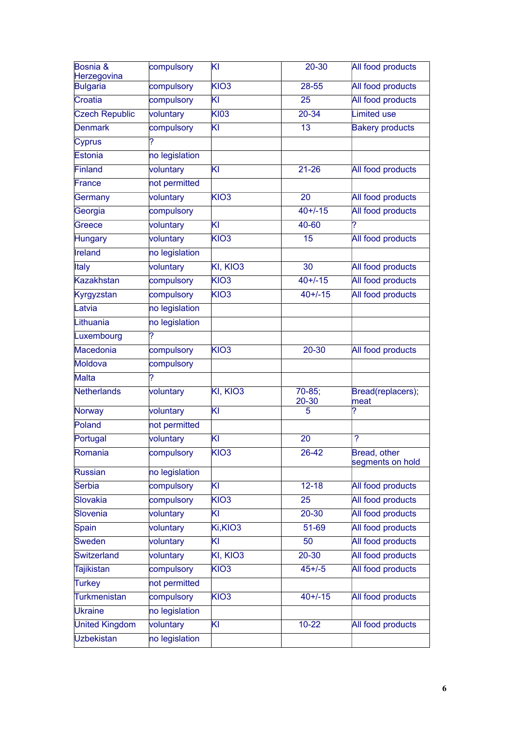| Bosnia &<br>Herzegovina | compulsory     | KI                        | $20 - 30$          | All food products                |
|-------------------------|----------------|---------------------------|--------------------|----------------------------------|
| <b>Bulgaria</b>         | compulsory     | KIO <sub>3</sub>          | 28-55              | All food products                |
| Croatia                 | compulsory     | $\overline{\mathsf{K}}$ l | 25                 | All food products                |
| <b>Czech Republic</b>   | voluntary      | <b>KI03</b>               | 20-34              | <b>Limited use</b>               |
| <b>Denmark</b>          | compulsory     | kι                        | 13                 | <b>Bakery products</b>           |
| Cyprus                  | 7              |                           |                    |                                  |
| Estonia                 | no legislation |                           |                    |                                  |
| Finland                 | voluntary      | ΚI                        | $21 - 26$          | All food products                |
| France                  | not permitted  |                           |                    |                                  |
| Germany                 | voluntary      | KIO3                      | 20                 | All food products                |
| Georgia                 | compulsory     |                           | $40+/-15$          | All food products                |
| Greece                  | voluntary      | KI                        | 40-60              | ?                                |
| <b>Hungary</b>          | voluntary      | KIO <sub>3</sub>          | 15                 | All food products                |
| <b>Ireland</b>          | no legislation |                           |                    |                                  |
| Italy                   | voluntary      | KI, KIO3                  | 30                 | All food products                |
| <b>Kazakhstan</b>       | compulsory     | KIO3                      | $40+/-15$          | All food products                |
| Kyrgyzstan              | compulsory     | KIO <sub>3</sub>          | $40+/-15$          | All food products                |
| Latvia                  | no legislation |                           |                    |                                  |
| Lithuania               | no legislation |                           |                    |                                  |
| Luxembourg              | ?              |                           |                    |                                  |
| Macedonia               | compulsory     | KIO <sub>3</sub>          | $20 - 30$          | All food products                |
| Moldova                 | compulsory     |                           |                    |                                  |
| <b>Malta</b>            | 2              |                           |                    |                                  |
| Netherlands             | voluntary      | KI, KIO3                  | $70-85$ ;<br>20-30 | Bread(replacers);<br>lmeat       |
| <b>Norway</b>           | voluntary      | KI                        | 5                  | ?                                |
| Poland                  | not permitted  |                           |                    |                                  |
| Portugal                | voluntary      | KI                        | 20                 | ?                                |
| Romania                 | compulsory     | KIO3                      | 26-42              | Bread, other<br>segments on hold |
| Russian                 | no legislation |                           |                    |                                  |
| Serbia                  | compulsory     | $\overline{\mathsf{K}}$   | $12 - 18$          | All food products                |
| Slovakia                | compulsory     | KIO <sub>3</sub>          | 25                 | All food products                |
| Slovenia                | voluntary      | ΚI                        | 20-30              | All food products                |
| Spain                   | voluntary      | Ki,KIO3                   | 51-69              | All food products                |
| <b>Sweden</b>           | voluntary      | ΚI                        | 50                 | All food products                |
| Switzerland             | voluntary      | KI, KIO3                  | $20 - 30$          | All food products                |
| <b>Tajikistan</b>       | compulsory     | KIO <sub>3</sub>          | $45 + (-5)$        | All food products                |
| <b>Turkey</b>           | not permitted  |                           |                    |                                  |
| <b>Turkmenistan</b>     | compulsory     | KIO <sub>3</sub>          | $40+/-15$          | All food products                |
| <b>Ukraine</b>          | no legislation |                           |                    |                                  |
| <b>United Kingdom</b>   | voluntary      | KI                        | $10 - 22$          | All food products                |
| <b>Uzbekistan</b>       | no legislation |                           |                    |                                  |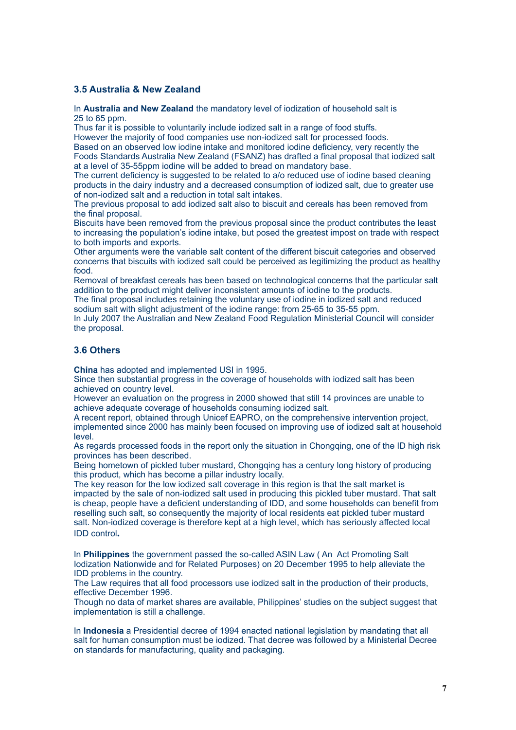# **3.5 Australia & New Zealand**

In **Australia and New Zealand** the mandatory level of iodization of household salt is 25 to 65 ppm.

Thus far it is possible to voluntarily include iodized salt in a range of food stuffs.

However the majority of food companies use non-iodized salt for processed foods.

Based on an observed low iodine intake and monitored iodine deficiency, very recently the Foods Standards Australia New Zealand (FSANZ) has drafted a final proposal that iodized salt at a level of 35-55ppm iodine will be added to bread on mandatory base.

The current deficiency is suggested to be related to a/o reduced use of jodine based cleaning products in the dairy industry and a decreased consumption of iodized salt, due to greater use of non-iodized salt and a reduction in total salt intakes.

The previous proposal to add iodized salt also to biscuit and cereals has been removed from the final proposal.

Biscuits have been removed from the previous proposal since the product contributes the least to increasing the population's iodine intake, but posed the greatest impost on trade with respect to both imports and exports.

Other arguments were the variable salt content of the different biscuit categories and observed concerns that biscuits with iodized salt could be perceived as legitimizing the product as healthy food.

Removal of breakfast cereals has been based on technological concerns that the particular salt addition to the product might deliver inconsistent amounts of iodine to the products.

The final proposal includes retaining the voluntary use of iodine in iodized salt and reduced sodium salt with slight adjustment of the iodine range: from 25-65 to 35-55 ppm.

In July 2007 the Australian and New Zealand Food Regulation Ministerial Council will consider the proposal.

#### **3.6 Others**

**China** has adopted and implemented USI in 1995.

Since then substantial progress in the coverage of households with iodized salt has been achieved on country level.

However an evaluation on the progress in 2000 showed that still 14 provinces are unable to achieve adequate coverage of households consuming iodized salt.

A recent report, obtained through Unicef EAPRO, on the comprehensive intervention project, implemented since 2000 has mainly been focused on improving use of iodized salt at household level.

As regards processed foods in the report only the situation in Chongqing, one of the ID high risk provinces has been described.

Being hometown of pickled tuber mustard, Chongqing has a century long history of producing this product, which has become a pillar industry locally.

The key reason for the low iodized salt coverage in this region is that the salt market is impacted by the sale of non-iodized salt used in producing this pickled tuber mustard. That salt is cheap, people have a deficient understanding of IDD, and some households can benefit from reselling such salt, so consequently the majority of local residents eat pickled tuber mustard salt. Non-iodized coverage is therefore kept at a high level, which has seriously affected local IDD control**.**

In **Philippines** the government passed the so-called ASIN Law ( An Act Promoting Salt Iodization Nationwide and for Related Purposes) on 20 December 1995 to help alleviate the IDD problems in the country.

The Law requires that all food processors use iodized salt in the production of their products, effective December 1996.

Though no data of market shares are available, Philippines' studies on the subject suggest that implementation is still a challenge.

In **Indonesia** a Presidential decree of 1994 enacted national legislation by mandating that all salt for human consumption must be iodized. That decree was followed by a Ministerial Decree on standards for manufacturing, quality and packaging.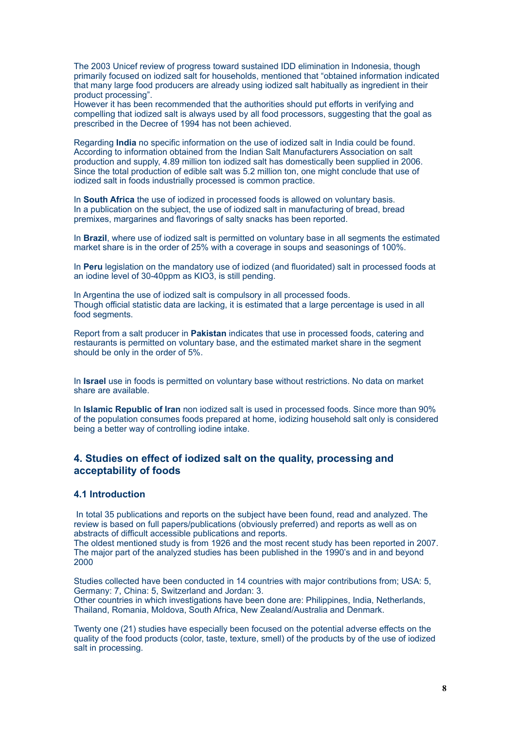The 2003 Unicef review of progress toward sustained IDD elimination in Indonesia, though primarily focused on iodized salt for households, mentioned that "obtained information indicated that many large food producers are already using iodized salt habitually as ingredient in their product processing".

However it has been recommended that the authorities should put efforts in verifying and compelling that iodized salt is always used by all food processors, suggesting that the goal as prescribed in the Decree of 1994 has not been achieved.

Regarding **India** no specific information on the use of iodized salt in India could be found. According to information obtained from the Indian Salt Manufacturers Association on salt production and supply, 4.89 million ton iodized salt has domestically been supplied in 2006. Since the total production of edible salt was 5.2 million ton, one might conclude that use of iodized salt in foods industrially processed is common practice.

In **South Africa** the use of iodized in processed foods is allowed on voluntary basis. In a publication on the subject, the use of iodized salt in manufacturing of bread, bread premixes, margarines and flavorings of salty snacks has been reported.

In **Brazil**, where use of iodized salt is permitted on voluntary base in all segments the estimated market share is in the order of 25% with a coverage in soups and seasonings of 100%.

In **Peru** legislation on the mandatory use of iodized (and fluoridated) salt in processed foods at an iodine level of 30-40ppm as KIO3, is still pending.

In Argentina the use of iodized salt is compulsory in all processed foods. Though official statistic data are lacking, it is estimated that a large percentage is used in all food segments.

Report from a salt producer in **Pakistan** indicates that use in processed foods, catering and restaurants is permitted on voluntary base, and the estimated market share in the segment should be only in the order of 5%.

In **Israel** use in foods is permitted on voluntary base without restrictions. No data on market share are available.

In **Islamic Republic of Iran** non iodized salt is used in processed foods. Since more than 90% of the population consumes foods prepared at home, iodizing household salt only is considered being a better way of controlling iodine intake.

# **4. Studies on effect of iodized salt on the quality, processing and acceptability of foods**

#### **4.1 Introduction**

 In total 35 publications and reports on the subject have been found, read and analyzed. The review is based on full papers/publications (obviously preferred) and reports as well as on abstracts of difficult accessible publications and reports.

The oldest mentioned study is from 1926 and the most recent study has been reported in 2007. The major part of the analyzed studies has been published in the 1990's and in and beyond 2000

Studies collected have been conducted in 14 countries with major contributions from; USA: 5, Germany: 7, China: 5, Switzerland and Jordan: 3.

Other countries in which investigations have been done are: Philippines, India, Netherlands, Thailand, Romania, Moldova, South Africa, New Zealand/Australia and Denmark.

Twenty one (21) studies have especially been focused on the potential adverse effects on the quality of the food products (color, taste, texture, smell) of the products by of the use of iodized salt in processing.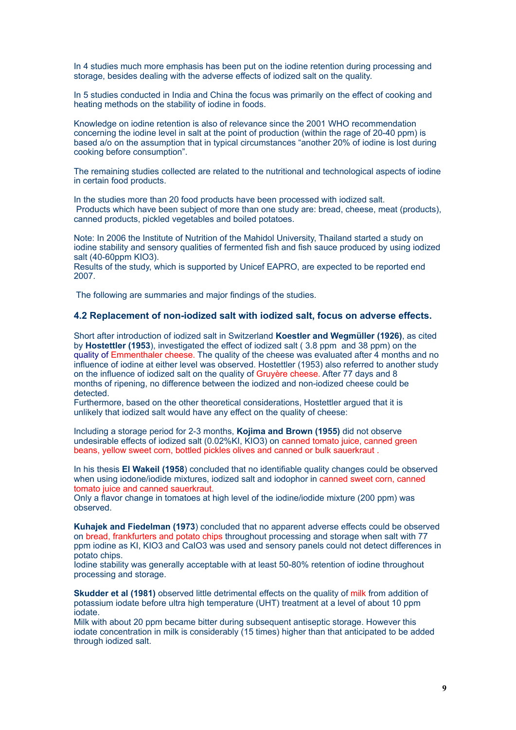In 4 studies much more emphasis has been put on the iodine retention during processing and storage, besides dealing with the adverse effects of iodized salt on the quality.

In 5 studies conducted in India and China the focus was primarily on the effect of cooking and heating methods on the stability of iodine in foods.

Knowledge on iodine retention is also of relevance since the 2001 WHO recommendation concerning the iodine level in salt at the point of production (within the rage of 20-40 ppm) is based a/o on the assumption that in typical circumstances "another 20% of iodine is lost during cooking before consumption".

The remaining studies collected are related to the nutritional and technological aspects of iodine in certain food products.

In the studies more than 20 food products have been processed with iodized salt. Products which have been subject of more than one study are: bread, cheese, meat (products), canned products, pickled vegetables and boiled potatoes.

Note: In 2006 the Institute of Nutrition of the Mahidol University, Thailand started a study on iodine stability and sensory qualities of fermented fish and fish sauce produced by using iodized salt (40-60ppm KIO3).

Results of the study, which is supported by Unicef EAPRO, are expected to be reported end 2007.

The following are summaries and major findings of the studies.

#### **4.2 Replacement of non-iodized salt with iodized salt, focus on adverse effects.**

Short after introduction of iodized salt in Switzerland **Koestler and Wegmüller (1926)**, as cited by **Hostettler (1953**), investigated the effect of iodized salt ( 3.8 ppm and 38 ppm) on the quality of Emmenthaler cheese. The quality of the cheese was evaluated after 4 months and no influence of iodine at either level was observed. Hostettler (1953) also referred to another study on the influence of iodized salt on the quality of Gruyère cheese. After 77 days and 8 months of ripening, no difference between the iodized and non-iodized cheese could be detected.

Furthermore, based on the other theoretical considerations, Hostettler argued that it is unlikely that iodized salt would have any effect on the quality of cheese:

Including a storage period for 2-3 months, **Kojima and Brown (1955)** did not observe undesirable effects of iodized salt (0.02%KI, KIO3) on canned tomato juice, canned green beans, yellow sweet corn, bottled pickles olives and canned or bulk sauerkraut .

In his thesis **El Wakeil (1958**) concluded that no identifiable quality changes could be observed when using iodone/iodide mixtures, iodized salt and iodophor in canned sweet corn, canned tomato juice and canned sauerkraut.

Only a flavor change in tomatoes at high level of the iodine/iodide mixture (200 ppm) was observed.

**Kuhajek and Fiedelman (1973**) concluded that no apparent adverse effects could be observed on bread, frankfurters and potato chips throughout processing and storage when salt with 77 ppm iodine as KI, KIO3 and CaIO3 was used and sensory panels could not detect differences in potato chips.

Iodine stability was generally acceptable with at least 50-80% retention of iodine throughout processing and storage.

**Skudder et al (1981)** observed little detrimental effects on the quality of milk from addition of potassium iodate before ultra high temperature (UHT) treatment at a level of about 10 ppm iodate.

Milk with about 20 ppm became bitter during subsequent antiseptic storage. However this iodate concentration in milk is considerably (15 times) higher than that anticipated to be added through iodized salt.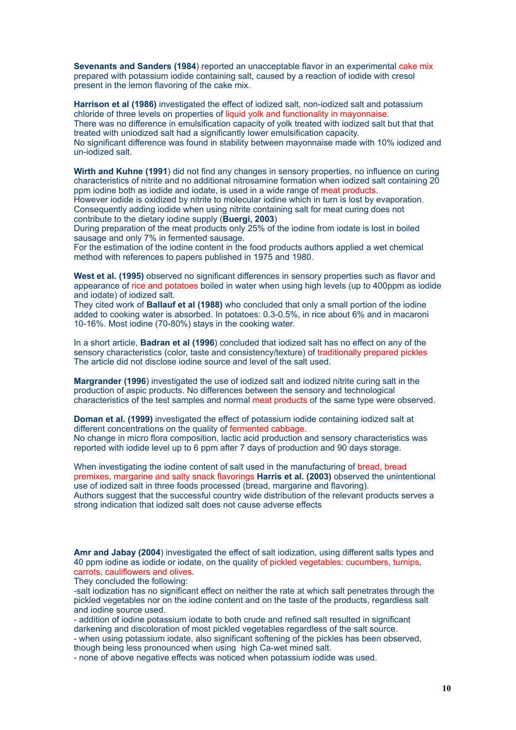**Sevenants and Sanders (1984**) reported an unacceptable flavor in an experimental cake mix prepared with potassium iodide containing salt, caused by a reaction of iodide with cresol present in the lemon flavoring of the cake mix.

**Harrison et al (1986)** investigated the effect of iodized salt, non-iodized salt and potassium chloride of three levels on properties of liquid yolk and functionality in mayonnaise. There was no difference in emulsification capacity of yolk treated with iodized salt but that that treated with uniodized salt had a significantly lower emulsification capacity. No significant difference was found in stability between mayonnaise made with 10% iodized and un-iodized salt.

**Wirth and Kuhne (1991**) did not find any changes in sensory properties, no influence on curing characteristics of nitrite and no additional nitrosamine formation when iodized salt containing 20 ppm iodine both as iodide and iodate, is used in a wide range of meat products.

However iodide is oxidized by nitrite to molecular iodine which in turn is lost by evaporation. Consequently adding iodide when using nitrite containing salt for meat curing does not contribute to the dietary iodine supply (**Buergi, 2003**)

During preparation of the meat products only 25% of the iodine from iodate is lost in boiled sausage and only 7% in fermented sausage.

For the estimation of the iodine content in the food products authors applied a wet chemical method with references to papers published in 1975 and 1980.

**West et al. (1995)** observed no significant differences in sensory properties such as flavor and appearance of rice and potatoes boiled in water when using high levels (up to 400ppm as iodide and iodate) of iodized salt.

They cited work of **Ballauf et al (1988)** who concluded that only a small portion of the iodine added to cooking water is absorbed. In potatoes: 0.3-0.5%, in rice about 6% and in macaroni 10-16%. Most iodine (70-80%) stays in the cooking water.

In a short article, **Badran et al (1996**) concluded that iodized salt has no effect on any of the sensory characteristics (color, taste and consistency/texture) of traditionally prepared pickles The article did not disclose iodine source and level of the salt used.

**Margrander (1996**) investigated the use of iodized salt and iodized nitrite curing salt in the production of aspic products. No differences between the sensory and technological characteristics of the test samples and normal meat products of the same type were observed.

**Doman et al. (1999)** investigated the effect of potassium iodide containing iodized salt at different concentrations on the quality of fermented cabbage. No change in micro flora composition, lactic acid production and sensory characteristics was reported with iodide level up to 6 ppm after 7 days of production and 90 days storage.

When investigating the iodine content of salt used in the manufacturing of bread, bread premixes, margarine and salty snack flavorings **Harris et al. (2003)** observed the unintentional use of iodized salt in three foods processed (bread, margarine and flavoring). Authors suggest that the successful country wide distribution of the relevant products serves a strong indication that iodized salt does not cause adverse effects

**Amr and Jabay (2004**) investigated the effect of salt iodization, using different salts types and 40 ppm iodine as iodide or iodate, on the quality of pickled vegetables: cucumbers, turnips, carrots, cauliflowers and olives.

They concluded the following:

-salt iodization has no significant effect on neither the rate at which salt penetrates through the pickled vegetables nor on the iodine content and on the taste of the products, regardless salt and iodine source used.

- addition of iodine potassium iodate to both crude and refined salt resulted in significant darkening and discoloration of most pickled vegetables regardless of the salt source.

- when using potassium iodate, also significant softening of the pickles has been observed, though being less pronounced when using high Ca-wet mined salt.

- none of above negative effects was noticed when potassium iodide was used.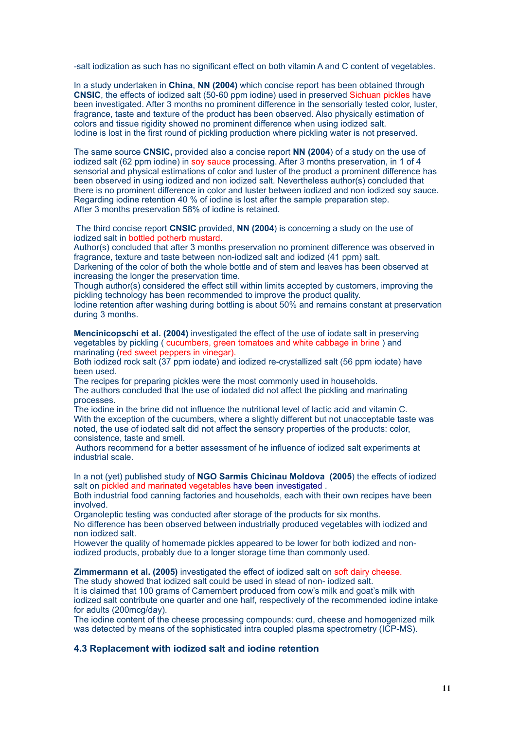-salt iodization as such has no significant effect on both vitamin A and C content of vegetables.

In a study undertaken in **China**, **NN (2004)** which concise report has been obtained through **CNSIC**, the effects of iodized salt (50-60 ppm iodine) used in preserved Sichuan pickles have been investigated. After 3 months no prominent difference in the sensorially tested color, luster, fragrance, taste and texture of the product has been observed. Also physically estimation of colors and tissue rigidity showed no prominent difference when using iodized salt. Iodine is lost in the first round of pickling production where pickling water is not preserved.

The same source **CNSIC,** provided also a concise report **NN (2004**) of a study on the use of iodized salt (62 ppm iodine) in soy sauce processing. After 3 months preservation, in 1 of 4 sensorial and physical estimations of color and luster of the product a prominent difference has been observed in using iodized and non iodized salt. Nevertheless author(s) concluded that there is no prominent difference in color and luster between iodized and non iodized soy sauce. Regarding iodine retention 40 % of iodine is lost after the sample preparation step. After 3 months preservation 58% of iodine is retained.

 The third concise report **CNSIC** provided, **NN (2004**) is concerning a study on the use of iodized salt in bottled potherb mustard.

Author(s) concluded that after 3 months preservation no prominent difference was observed in fragrance, texture and taste between non-iodized salt and iodized (41 ppm) salt.

Darkening of the color of both the whole bottle and of stem and leaves has been observed at increasing the longer the preservation time.

Though author(s) considered the effect still within limits accepted by customers, improving the pickling technology has been recommended to improve the product quality.

Iodine retention after washing during bottling is about 50% and remains constant at preservation during 3 months.

**Mencinicopschi et al. (2004)** investigated the effect of the use of iodate salt in preserving vegetables by pickling ( cucumbers, green tomatoes and white cabbage in brine ) and marinating (red sweet peppers in vinegar).

Both iodized rock salt (37 ppm iodate) and iodized re-crystallized salt (56 ppm iodate) have been used.

The recipes for preparing pickles were the most commonly used in households. The authors concluded that the use of iodated did not affect the pickling and marinating processes.

The iodine in the brine did not influence the nutritional level of lactic acid and vitamin C. With the exception of the cucumbers, where a slightly different but not unacceptable taste was noted, the use of iodated salt did not affect the sensory properties of the products: color, consistence, taste and smell.

 Authors recommend for a better assessment of he influence of iodized salt experiments at industrial scale.

In a not (yet) published study of **NGO Sarmis Chicinau Moldova (2005**) the effects of iodized salt on pickled and marinated vegetables have been investigated .

Both industrial food canning factories and households, each with their own recipes have been involved.

Organoleptic testing was conducted after storage of the products for six months.

No difference has been observed between industrially produced vegetables with iodized and non iodized salt.

However the quality of homemade pickles appeared to be lower for both iodized and noniodized products, probably due to a longer storage time than commonly used.

**Zimmermann et al. (2005)** investigated the effect of iodized salt on soft dairy cheese.

The study showed that iodized salt could be used in stead of non- iodized salt.

It is claimed that 100 grams of Camembert produced from cow's milk and goat's milk with iodized salt contribute one quarter and one half, respectively of the recommended iodine intake for adults (200mcg/day).

The iodine content of the cheese processing compounds: curd, cheese and homogenized milk was detected by means of the sophisticated intra coupled plasma spectrometry (ICP-MS).

# **4.3 Replacement with iodized salt and iodine retention**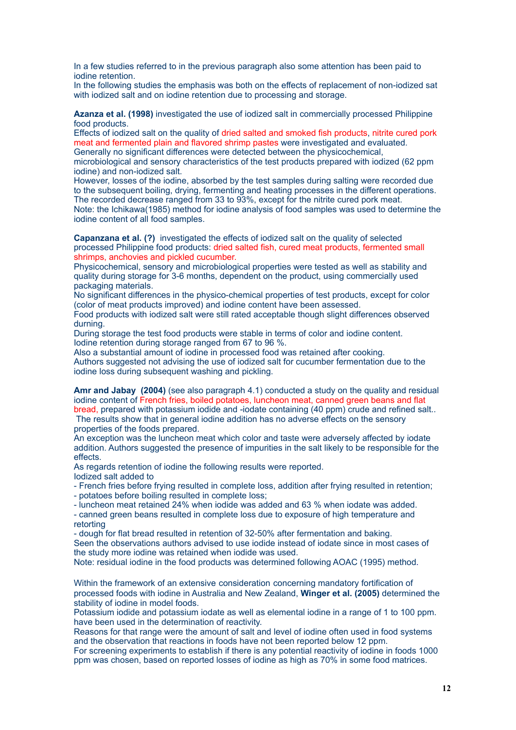In a few studies referred to in the previous paragraph also some attention has been paid to iodine retention.

In the following studies the emphasis was both on the effects of replacement of non-iodized sat with iodized salt and on iodine retention due to processing and storage.

**Azanza et al. (1998)** investigated the use of iodized salt in commercially processed Philippine food products.

Effects of iodized salt on the quality of dried salted and smoked fish products, nitrite cured pork meat and fermented plain and flavored shrimp pastes were investigated and evaluated. Generally no significant differences were detected between the physicochemical,

microbiological and sensory characteristics of the test products prepared with iodized (62 ppm iodine) and non-iodized salt.

However, losses of the iodine, absorbed by the test samples during salting were recorded due to the subsequent boiling, drying, fermenting and heating processes in the different operations. The recorded decrease ranged from 33 to 93%, except for the nitrite cured pork meat.

Note: the Ichikawa(1985) method for iodine analysis of food samples was used to determine the iodine content of all food samples.

**Capanzana et al. (?)** investigated the effects of iodized salt on the quality of selected processed Philippine food products: dried salted fish, cured meat products, fermented small shrimps, anchovies and pickled cucumber.

Physicochemical, sensory and microbiological properties were tested as well as stability and quality during storage for 3-6 months, dependent on the product, using commercially used packaging materials.

No significant differences in the physico-chemical properties of test products, except for color (color of meat products improved) and iodine content have been assessed.

Food products with iodized salt were still rated acceptable though slight differences observed durning.

During storage the test food products were stable in terms of color and iodine content. Iodine retention during storage ranged from 67 to 96 %.

Also a substantial amount of iodine in processed food was retained after cooking. Authors suggested not advising the use of iodized salt for cucumber fermentation due to the iodine loss during subsequent washing and pickling.

**Amr and Jabay (2004)** (see also paragraph 4.1) conducted a study on the quality and residual iodine content of French fries, boiled potatoes, luncheon meat, canned green beans and flat bread, prepared with potassium iodide and -iodate containing (40 ppm) crude and refined salt..

 The results show that in general iodine addition has no adverse effects on the sensory properties of the foods prepared.

An exception was the luncheon meat which color and taste were adversely affected by iodate addition. Authors suggested the presence of impurities in the salt likely to be responsible for the effects.

As regards retention of iodine the following results were reported. Iodized salt added to

- French fries before frying resulted in complete loss, addition after frying resulted in retention;

- potatoes before boiling resulted in complete loss;

- luncheon meat retained 24% when iodide was added and 63 % when iodate was added.

- canned green beans resulted in complete loss due to exposure of high temperature and retorting

- dough for flat bread resulted in retention of 32-50% after fermentation and baking. Seen the observations authors advised to use iodide instead of iodate since in most cases of

the study more iodine was retained when iodide was used.

Note: residual iodine in the food products was determined following AOAC (1995) method.

Within the framework of an extensive consideration concerning mandatory fortification of processed foods with iodine in Australia and New Zealand, **Winger et al. (2005)** determined the stability of iodine in model foods.

Potassium iodide and potassium iodate as well as elemental iodine in a range of 1 to 100 ppm. have been used in the determination of reactivity.

Reasons for that range were the amount of salt and level of iodine often used in food systems and the observation that reactions in foods have not been reported below 12 ppm.

For screening experiments to establish if there is any potential reactivity of iodine in foods 1000 ppm was chosen, based on reported losses of iodine as high as 70% in some food matrices.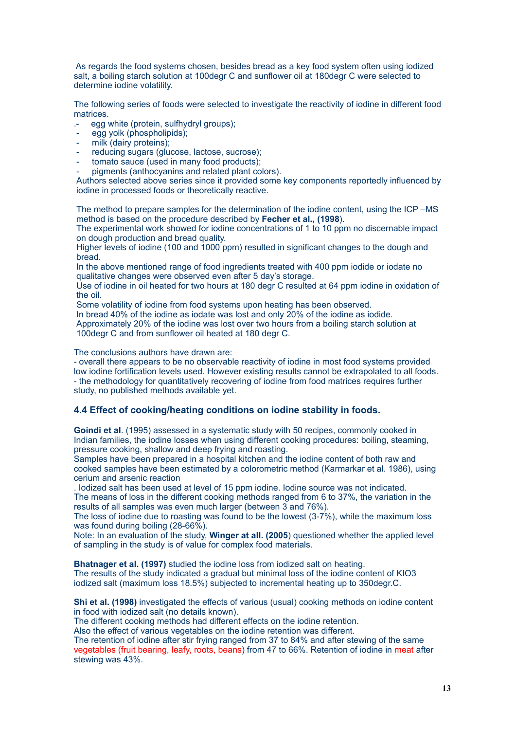As regards the food systems chosen, besides bread as a key food system often using iodized salt, a boiling starch solution at 100degr C and sunflower oil at 180degr C were selected to determine iodine volatility.

The following series of foods were selected to investigate the reactivity of iodine in different food matrices.

- egg white (protein, sulfhydryl groups);
- egg yolk (phospholipids);
- milk (dairy proteins);
- reducing sugars (glucose, lactose, sucrose);
- tomato sauce (used in many food products);
- pigments (anthocyanins and related plant colors).

Authors selected above series since it provided some key components reportedly influenced by iodine in processed foods or theoretically reactive.

The method to prepare samples for the determination of the iodine content, using the ICP –MS method is based on the procedure described by **Fecher et al., (1998**).

The experimental work showed for iodine concentrations of 1 to 10 ppm no discernable impact on dough production and bread quality.

Higher levels of iodine (100 and 1000 ppm) resulted in significant changes to the dough and bread.

In the above mentioned range of food ingredients treated with 400 ppm iodide or iodate no qualitative changes were observed even after 5 day's storage.

Use of iodine in oil heated for two hours at 180 degr C resulted at 64 ppm iodine in oxidation of the oil.

Some volatility of iodine from food systems upon heating has been observed.

In bread 40% of the iodine as iodate was lost and only 20% of the iodine as iodide. Approximately 20% of the iodine was lost over two hours from a boiling starch solution at 100degr C and from sunflower oil heated at 180 degr C.

The conclusions authors have drawn are:

- overall there appears to be no observable reactivity of iodine in most food systems provided low iodine fortification levels used. However existing results cannot be extrapolated to all foods. - the methodology for quantitatively recovering of iodine from food matrices requires further study, no published methods available yet.

#### **4.4 Effect of cooking/heating conditions on iodine stability in foods.**

**Goindi et al**. (1995) assessed in a systematic study with 50 recipes, commonly cooked in Indian families, the iodine losses when using different cooking procedures: boiling, steaming, pressure cooking, shallow and deep frying and roasting.

Samples have been prepared in a hospital kitchen and the iodine content of both raw and cooked samples have been estimated by a colorometric method (Karmarkar et al. 1986), using cerium and arsenic reaction

. Iodized salt has been used at level of 15 ppm iodine. Iodine source was not indicated.

The means of loss in the different cooking methods ranged from 6 to 37%, the variation in the results of all samples was even much larger (between 3 and 76%).

The loss of iodine due to roasting was found to be the lowest (3-7%), while the maximum loss was found during boiling (28-66%).

Note: In an evaluation of the study, **Winger at all. (2005**) questioned whether the applied level of sampling in the study is of value for complex food materials.

**Bhatnager et al. (1997)** studied the iodine loss from iodized salt on heating.

The results of the study indicated a gradual but minimal loss of the iodine content of KIO3 iodized salt (maximum loss 18.5%) subjected to incremental heating up to 350degr.C.

**Shi et al. (1998)** investigated the effects of various (usual) cooking methods on iodine content in food with iodized salt (no details known).

The different cooking methods had different effects on the iodine retention.

Also the effect of various vegetables on the iodine retention was different.

The retention of iodine after stir frying ranged from 37 to 84% and after stewing of the same vegetables (fruit bearing, leafy, roots, beans) from 47 to 66%. Retention of iodine in meat after stewing was 43%.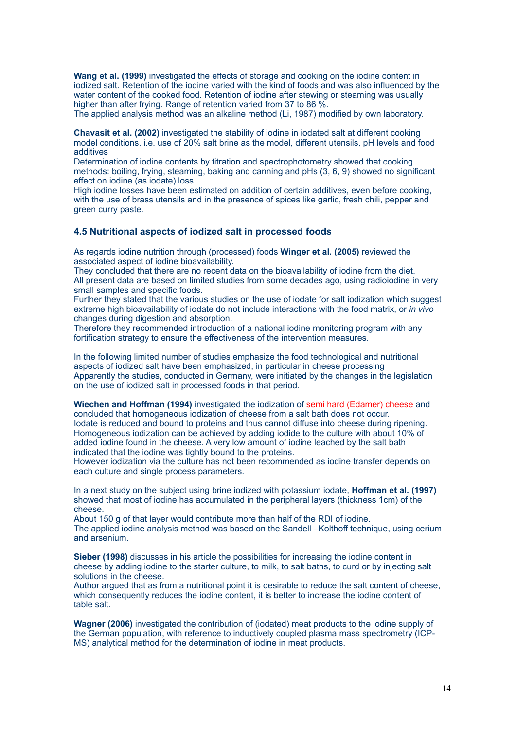**Wang et al. (1999)** investigated the effects of storage and cooking on the iodine content in iodized salt. Retention of the iodine varied with the kind of foods and was also influenced by the water content of the cooked food. Retention of iodine after stewing or steaming was usually higher than after frying. Range of retention varied from 37 to 86 %.

The applied analysis method was an alkaline method (Li, 1987) modified by own laboratory.

**Chavasit et al. (2002)** investigated the stability of iodine in iodated salt at different cooking model conditions, i.e. use of 20% salt brine as the model, different utensils, pH levels and food additives

Determination of iodine contents by titration and spectrophotometry showed that cooking methods: boiling, frying, steaming, baking and canning and pHs (3, 6, 9) showed no significant effect on iodine (as iodate) loss.

High iodine losses have been estimated on addition of certain additives, even before cooking, with the use of brass utensils and in the presence of spices like garlic, fresh chili, pepper and green curry paste.

#### **4.5 Nutritional aspects of iodized salt in processed foods**

As regards iodine nutrition through (processed) foods **Winger et al. (2005)** reviewed the associated aspect of iodine bioavailability.

They concluded that there are no recent data on the bioavailability of iodine from the diet. All present data are based on limited studies from some decades ago, using radioiodine in very small samples and specific foods.

Further they stated that the various studies on the use of iodate for salt iodization which suggest extreme high bioavailability of iodate do not include interactions with the food matrix, or *in vivo* changes during digestion and absorption.

Therefore they recommended introduction of a national iodine monitoring program with any fortification strategy to ensure the effectiveness of the intervention measures.

In the following limited number of studies emphasize the food technological and nutritional aspects of iodized salt have been emphasized, in particular in cheese processing Apparently the studies, conducted in Germany, were initiated by the changes in the legislation on the use of iodized salt in processed foods in that period.

**Wiechen and Hoffman (1994)** investigated the iodization of semi hard (Edamer) cheese and concluded that homogeneous iodization of cheese from a salt bath does not occur. Iodate is reduced and bound to proteins and thus cannot diffuse into cheese during ripening. Homogeneous iodization can be achieved by adding iodide to the culture with about 10% of added iodine found in the cheese. A very low amount of iodine leached by the salt bath indicated that the iodine was tightly bound to the proteins.

However iodization via the culture has not been recommended as iodine transfer depends on each culture and single process parameters.

In a next study on the subject using brine iodized with potassium iodate, **Hoffman et al. (1997)** showed that most of iodine has accumulated in the peripheral layers (thickness 1cm) of the cheese.

About 150 g of that layer would contribute more than half of the RDI of iodine. The applied iodine analysis method was based on the Sandell –Kolthoff technique, using cerium and arsenium.

**Sieber (1998)** discusses in his article the possibilities for increasing the iodine content in cheese by adding iodine to the starter culture, to milk, to salt baths, to curd or by injecting salt solutions in the cheese.

Author argued that as from a nutritional point it is desirable to reduce the salt content of cheese, which consequently reduces the iodine content, it is better to increase the iodine content of table salt.

**Wagner (2006)** investigated the contribution of (iodated) meat products to the iodine supply of the German population, with reference to inductively coupled plasma mass spectrometry (ICP-MS) analytical method for the determination of iodine in meat products.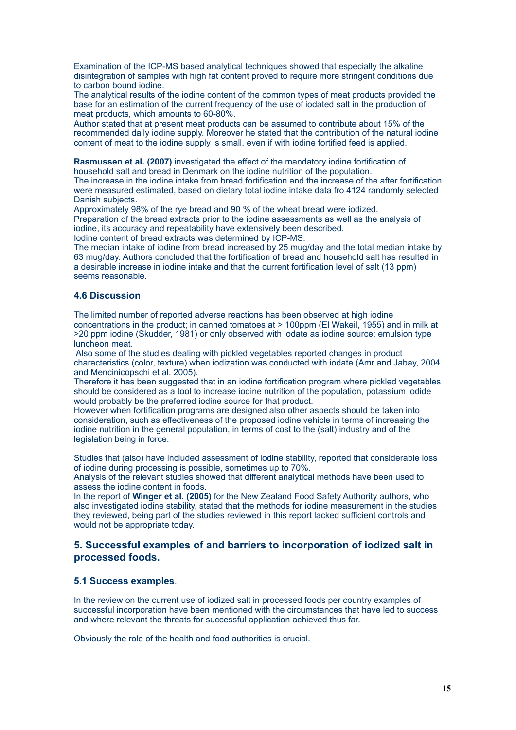Examination of the ICP-MS based analytical techniques showed that especially the alkaline disintegration of samples with high fat content proved to require more stringent conditions due to carbon bound iodine.

The analytical results of the iodine content of the common types of meat products provided the base for an estimation of the current frequency of the use of iodated salt in the production of meat products, which amounts to 60-80%.

Author stated that at present meat products can be assumed to contribute about 15% of the recommended daily iodine supply. Moreover he stated that the contribution of the natural iodine content of meat to the iodine supply is small, even if with iodine fortified feed is applied.

**Rasmussen et al. (2007)** investigated the effect of the mandatory iodine fortification of household salt and bread in Denmark on the iodine nutrition of the population.

The increase in the iodine intake from bread fortification and the increase of the after fortification were measured estimated, based on dietary total iodine intake data fro 4124 randomly selected Danish subjects.

Approximately 98% of the rye bread and 90 % of the wheat bread were iodized.

Preparation of the bread extracts prior to the iodine assessments as well as the analysis of iodine, its accuracy and repeatability have extensively been described.

Iodine content of bread extracts was determined by ICP-MS.

The median intake of iodine from bread increased by 25 mug/day and the total median intake by 63 mug/day. Authors concluded that the fortification of bread and household salt has resulted in a desirable increase in iodine intake and that the current fortification level of salt (13 ppm) seems reasonable.

### **4.6 Discussion**

The limited number of reported adverse reactions has been observed at high iodine concentrations in the product; in canned tomatoes at > 100ppm (El Wakeil, 1955) and in milk at >20 ppm iodine (Skudder, 1981) or only observed with iodate as iodine source: emulsion type luncheon meat.

 Also some of the studies dealing with pickled vegetables reported changes in product characteristics (color, texture) when iodization was conducted with iodate (Amr and Jabay, 2004 and Mencinicopschi et al. 2005).

Therefore it has been suggested that in an iodine fortification program where pickled vegetables should be considered as a tool to increase iodine nutrition of the population, potassium iodide would probably be the preferred iodine source for that product.

However when fortification programs are designed also other aspects should be taken into consideration, such as effectiveness of the proposed iodine vehicle in terms of increasing the iodine nutrition in the general population, in terms of cost to the (salt) industry and of the legislation being in force.

Studies that (also) have included assessment of iodine stability, reported that considerable loss of iodine during processing is possible, sometimes up to 70%.

Analysis of the relevant studies showed that different analytical methods have been used to assess the iodine content in foods.

In the report of **Winger et al. (2005)** for the New Zealand Food Safety Authority authors, who also investigated iodine stability, stated that the methods for iodine measurement in the studies they reviewed, being part of the studies reviewed in this report lacked sufficient controls and would not be appropriate today.

# **5. Successful examples of and barriers to incorporation of iodized salt in processed foods.**

#### **5.1 Success examples**.

In the review on the current use of iodized salt in processed foods per country examples of successful incorporation have been mentioned with the circumstances that have led to success and where relevant the threats for successful application achieved thus far.

Obviously the role of the health and food authorities is crucial.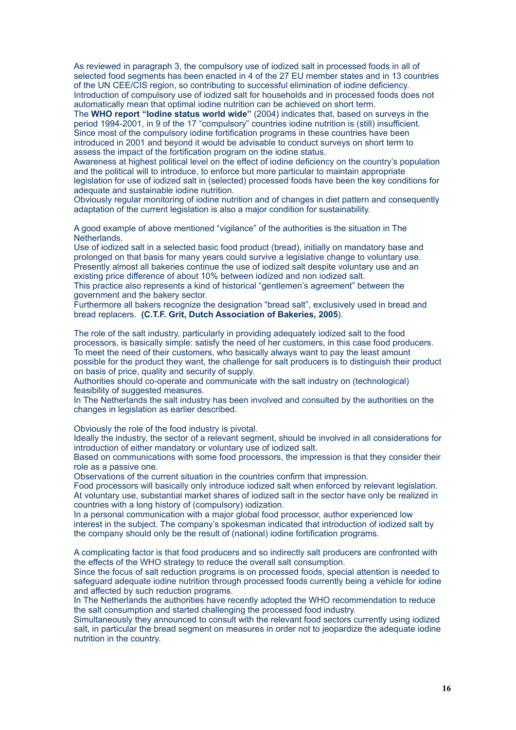As reviewed in paragraph 3, the compulsory use of iodized salt in processed foods in all of selected food segments has been enacted in 4 of the 27 EU member states and in 13 countries of the UN CEE/CIS region, so contributing to successful elimination of iodine deficiency. Introduction of compulsory use of iodized salt for households and in processed foods does not automatically mean that optimal iodine nutrition can be achieved on short term.

The **WHO report "Iodine status world wide"** (2004) indicates that, based on surveys in the period 1994-2001, in 9 of the 17 "compulsory" countries iodine nutrition is (still) insufficient. Since most of the compulsory iodine fortification programs in these countries have been introduced in 2001 and beyond it would be advisable to conduct surveys on short term to assess the impact of the fortification program on the iodine status.

Awareness at highest political level on the effect of iodine deficiency on the country's population and the political will to introduce, to enforce but more particular to maintain appropriate legislation for use of iodized salt in (selected) processed foods have been the key conditions for adequate and sustainable iodine nutrition.

Obviously regular monitoring of iodine nutrition and of changes in diet pattern and consequently adaptation of the current legislation is also a major condition for sustainability.

A good example of above mentioned "vigilance" of the authorities is the situation in The Netherlands.

Use of iodized salt in a selected basic food product (bread), initially on mandatory base and prolonged on that basis for many years could survive a legislative change to voluntary use. Presently almost all bakeries continue the use of iodized salt despite voluntary use and an existing price difference of about 10% between iodized and non iodized salt.

This practice also represents a kind of historical "gentlemen's agreement" between the government and the bakery sector.

Furthermore all bakers recognize the designation "bread salt", exclusively used in bread and bread replacers. **(C.T.F. Grit, Dutch Association of Bakeries, 2005**).

The role of the salt industry, particularly in providing adequately iodized salt to the food processors, is basically simple: satisfy the need of her customers, in this case food producers. To meet the need of their customers, who basically always want to pay the least amount possible for the product they want, the challenge for salt producers is to distinguish their product on basis of price, quality and security of supply.

Authorities should co-operate and communicate with the salt industry on (technological) feasibility of suggested measures.

In The Netherlands the salt industry has been involved and consulted by the authorities on the changes in legislation as earlier described.

Obviously the role of the food industry is pivotal.

Ideally the industry, the sector of a relevant segment, should be involved in all considerations for introduction of either mandatory or voluntary use of iodized salt.

Based on communications with some food processors, the impression is that they consider their role as a passive one.

Observations of the current situation in the countries confirm that impression.

Food processors will basically only introduce iodized salt when enforced by relevant legislation. At voluntary use, substantial market shares of iodized salt in the sector have only be realized in countries with a long history of (compulsory) iodization.

In a personal communication with a major global food processor, author experienced low interest in the subject. The company's spokesman indicated that introduction of iodized salt by the company should only be the result of (national) iodine fortification programs.

A complicating factor is that food producers and so indirectly salt producers are confronted with the effects of the WHO strategy to reduce the overall salt consumption.

Since the focus of salt reduction programs is on processed foods, special attention is needed to safeguard adequate iodine nutrition through processed foods currently being a vehicle for iodine and affected by such reduction programs.

In The Netherlands the authorities have recently adopted the WHO recommendation to reduce the salt consumption and started challenging the processed food industry.

Simultaneously they announced to consult with the relevant food sectors currently using iodized salt, in particular the bread segment on measures in order not to jeopardize the adequate iodine nutrition in the country.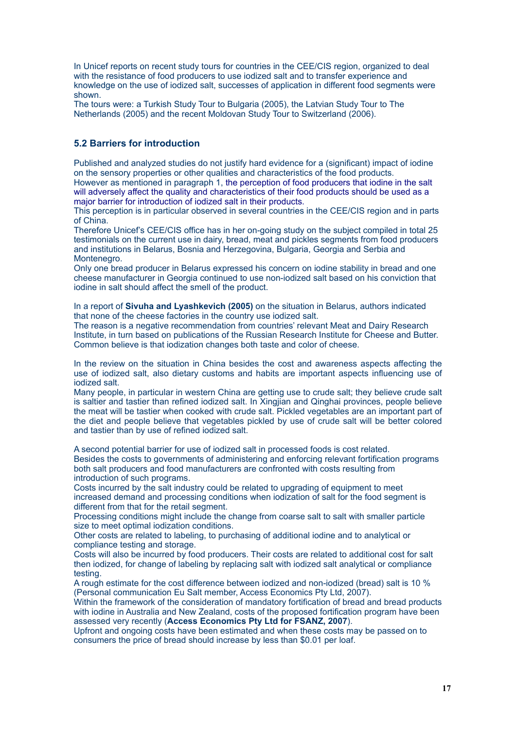In Unicef reports on recent study tours for countries in the CEE/CIS region, organized to deal with the resistance of food producers to use iodized salt and to transfer experience and knowledge on the use of iodized salt, successes of application in different food segments were shown.

The tours were: a Turkish Study Tour to Bulgaria (2005), the Latvian Study Tour to The Netherlands (2005) and the recent Moldovan Study Tour to Switzerland (2006).

# **5.2 Barriers for introduction**

Published and analyzed studies do not justify hard evidence for a (significant) impact of iodine on the sensory properties or other qualities and characteristics of the food products. However as mentioned in paragraph 1, the perception of food producers that iodine in the salt will adversely affect the quality and characteristics of their food products should be used as a major barrier for introduction of iodized salt in their products.

This perception is in particular observed in several countries in the CEE/CIS region and in parts of China.

Therefore Unicef's CEE/CIS office has in her on-going study on the subject compiled in total 25 testimonials on the current use in dairy, bread, meat and pickles segments from food producers and institutions in Belarus, Bosnia and Herzegovina, Bulgaria, Georgia and Serbia and Montenegro.

Only one bread producer in Belarus expressed his concern on iodine stability in bread and one cheese manufacturer in Georgia continued to use non-iodized salt based on his conviction that iodine in salt should affect the smell of the product.

In a report of **Sivuha and Lyashkevich (2005)** on the situation in Belarus, authors indicated that none of the cheese factories in the country use iodized salt.

The reason is a negative recommendation from countries' relevant Meat and Dairy Research Institute, in turn based on publications of the Russian Research Institute for Cheese and Butter. Common believe is that iodization changes both taste and color of cheese.

In the review on the situation in China besides the cost and awareness aspects affecting the use of iodized salt, also dietary customs and habits are important aspects influencing use of iodized salt.

Many people, in particular in western China are getting use to crude salt; they believe crude salt is saltier and tastier than refined iodized salt. In Xingjian and Qinghai provinces, people believe the meat will be tastier when cooked with crude salt. Pickled vegetables are an important part of the diet and people believe that vegetables pickled by use of crude salt will be better colored and tastier than by use of refined iodized salt.

A second potential barrier for use of iodized salt in processed foods is cost related.

Besides the costs to governments of administering and enforcing relevant fortification programs both salt producers and food manufacturers are confronted with costs resulting from introduction of such programs.

Costs incurred by the salt industry could be related to upgrading of equipment to meet increased demand and processing conditions when iodization of salt for the food segment is different from that for the retail segment.

Processing conditions might include the change from coarse salt to salt with smaller particle size to meet optimal iodization conditions.

Other costs are related to labeling, to purchasing of additional iodine and to analytical or compliance testing and storage.

Costs will also be incurred by food producers. Their costs are related to additional cost for salt then iodized, for change of labeling by replacing salt with iodized salt analytical or compliance testing.

A rough estimate for the cost difference between iodized and non-iodized (bread) salt is 10 % (Personal communication Eu Salt member, Access Economics Pty Ltd, 2007).

Within the framework of the consideration of mandatory fortification of bread and bread products with iodine in Australia and New Zealand, costs of the proposed fortification program have been assessed very recently (**Access Economics Pty Ltd for FSANZ, 2007**).

Upfront and ongoing costs have been estimated and when these costs may be passed on to consumers the price of bread should increase by less than \$0.01 per loaf.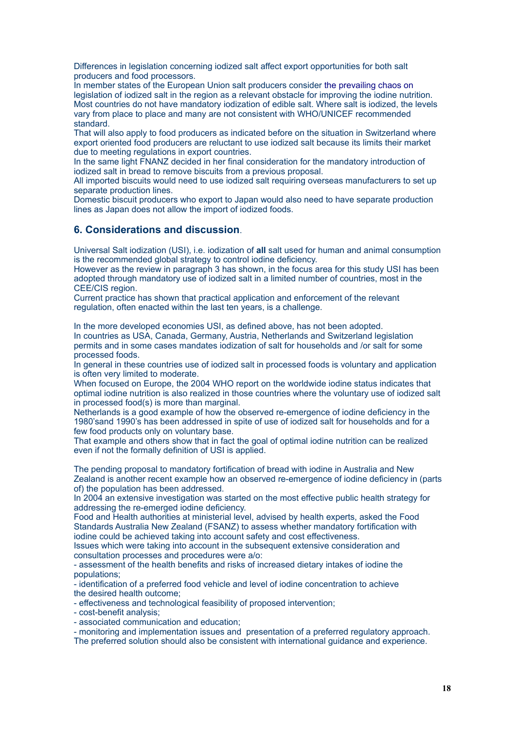Differences in legislation concerning iodized salt affect export opportunities for both salt producers and food processors.

In member states of the European Union salt producers consider the prevailing chaos on legislation of iodized salt in the region as a relevant obstacle for improving the iodine nutrition. Most countries do not have mandatory iodization of edible salt. Where salt is iodized, the levels vary from place to place and many are not consistent with WHO/UNICEF recommended standard.

That will also apply to food producers as indicated before on the situation in Switzerland where export oriented food producers are reluctant to use iodized salt because its limits their market due to meeting regulations in export countries.

In the same light FNANZ decided in her final consideration for the mandatory introduction of iodized salt in bread to remove biscuits from a previous proposal.

All imported biscuits would need to use iodized salt requiring overseas manufacturers to set up separate production lines.

Domestic biscuit producers who export to Japan would also need to have separate production lines as Japan does not allow the import of iodized foods.

# **6. Considerations and discussion**.

Universal Salt iodization (USI), i.e. iodization of **all** salt used for human and animal consumption is the recommended global strategy to control iodine deficiency.

However as the review in paragraph 3 has shown, in the focus area for this study USI has been adopted through mandatory use of iodized salt in a limited number of countries, most in the CEE/CIS region.

Current practice has shown that practical application and enforcement of the relevant regulation, often enacted within the last ten years, is a challenge.

In the more developed economies USI, as defined above, has not been adopted. In countries as USA, Canada, Germany, Austria, Netherlands and Switzerland legislation permits and in some cases mandates iodization of salt for households and /or salt for some processed foods.

In general in these countries use of iodized salt in processed foods is voluntary and application is often very limited to moderate.

When focused on Europe, the 2004 WHO report on the worldwide iodine status indicates that optimal iodine nutrition is also realized in those countries where the voluntary use of iodized salt in processed food(s) is more than marginal.

Netherlands is a good example of how the observed re-emergence of iodine deficiency in the 1980'sand 1990's has been addressed in spite of use of iodized salt for households and for a few food products only on voluntary base.

That example and others show that in fact the goal of optimal iodine nutrition can be realized even if not the formally definition of USI is applied.

The pending proposal to mandatory fortification of bread with iodine in Australia and New Zealand is another recent example how an observed re-emergence of iodine deficiency in (parts of) the population has been addressed.

In 2004 an extensive investigation was started on the most effective public health strategy for addressing the re-emerged iodine deficiency.

Food and Health authorities at ministerial level, advised by health experts, asked the Food Standards Australia New Zealand (FSANZ) to assess whether mandatory fortification with iodine could be achieved taking into account safety and cost effectiveness.

Issues which were taking into account in the subsequent extensive consideration and consultation processes and procedures were a/o:

- assessment of the health benefits and risks of increased dietary intakes of iodine the populations;

- identification of a preferred food vehicle and level of iodine concentration to achieve the desired health outcome;

- effectiveness and technological feasibility of proposed intervention;

- cost-benefit analysis;

- associated communication and education;

- monitoring and implementation issues and presentation of a preferred regulatory approach.

The preferred solution should also be consistent with international guidance and experience.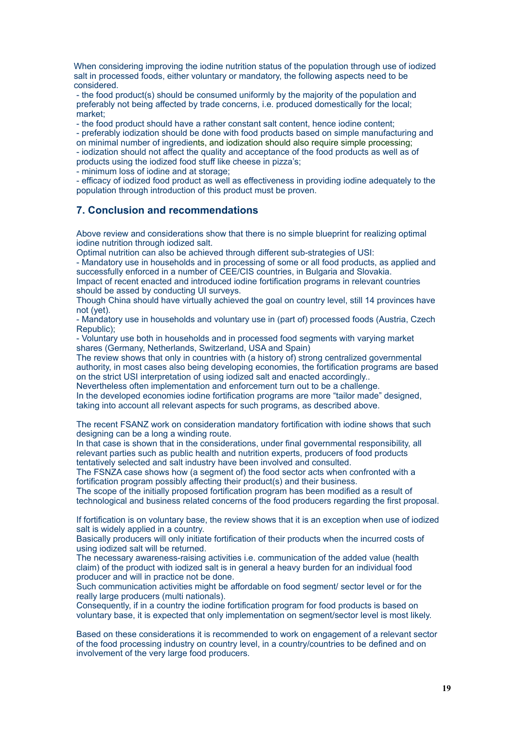When considering improving the iodine nutrition status of the population through use of iodized salt in processed foods, either voluntary or mandatory, the following aspects need to be considered.

- the food product(s) should be consumed uniformly by the majority of the population and preferably not being affected by trade concerns, i.e. produced domestically for the local; market;

- the food product should have a rather constant salt content, hence iodine content;

- preferably iodization should be done with food products based on simple manufacturing and on minimal number of ingredients, and iodization should also require simple processing; - iodization should not affect the quality and acceptance of the food products as well as of

products using the iodized food stuff like cheese in pizza's;

- minimum loss of iodine and at storage;

- efficacy of iodized food product as well as effectiveness in providing iodine adequately to the population through introduction of this product must be proven.

# **7. Conclusion and recommendations**

Above review and considerations show that there is no simple blueprint for realizing optimal iodine nutrition through iodized salt.

Optimal nutrition can also be achieved through different sub-strategies of USI:

- Mandatory use in households and in processing of some or all food products, as applied and successfully enforced in a number of CEE/CIS countries, in Bulgaria and Slovakia. Impact of recent enacted and introduced iodine fortification programs in relevant countries should be assed by conducting UI surveys.

Though China should have virtually achieved the goal on country level, still 14 provinces have not (yet).

- Mandatory use in households and voluntary use in (part of) processed foods (Austria, Czech Republic);

- Voluntary use both in households and in processed food segments with varying market shares (Germany, Netherlands, Switzerland, USA and Spain)

The review shows that only in countries with (a history of) strong centralized governmental authority, in most cases also being developing economies, the fortification programs are based on the strict USI interpretation of using iodized salt and enacted accordingly..

Nevertheless often implementation and enforcement turn out to be a challenge.

In the developed economies iodine fortification programs are more "tailor made" designed, taking into account all relevant aspects for such programs, as described above.

The recent FSANZ work on consideration mandatory fortification with iodine shows that such designing can be a long a winding route.

In that case is shown that in the considerations, under final governmental responsibility, all relevant parties such as public health and nutrition experts, producers of food products tentatively selected and salt industry have been involved and consulted.

The FSNZA case shows how (a segment of) the food sector acts when confronted with a fortification program possibly affecting their product(s) and their business.

The scope of the initially proposed fortification program has been modified as a result of technological and business related concerns of the food producers regarding the first proposal.

If fortification is on voluntary base, the review shows that it is an exception when use of iodized salt is widely applied in a country.

Basically producers will only initiate fortification of their products when the incurred costs of using iodized salt will be returned.

The necessary awareness-raising activities i.e. communication of the added value (health claim) of the product with iodized salt is in general a heavy burden for an individual food producer and will in practice not be done.

Such communication activities might be affordable on food segment/ sector level or for the really large producers (multi nationals).

Consequently, if in a country the iodine fortification program for food products is based on voluntary base, it is expected that only implementation on segment/sector level is most likely.

Based on these considerations it is recommended to work on engagement of a relevant sector of the food processing industry on country level, in a country/countries to be defined and on involvement of the very large food producers.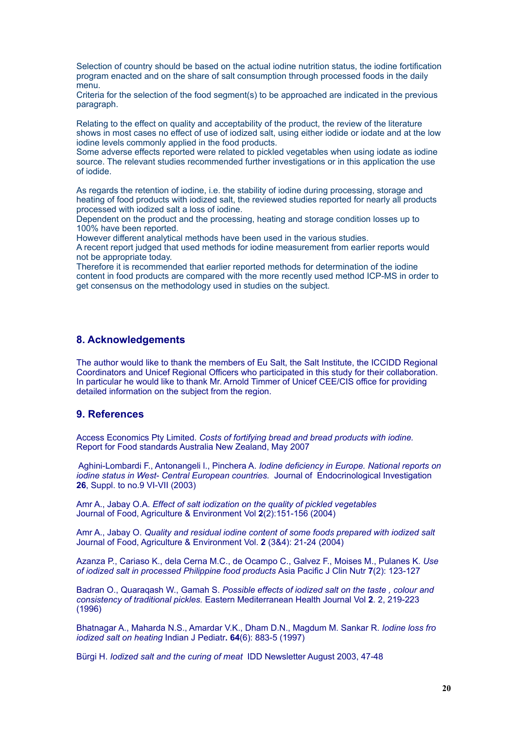Selection of country should be based on the actual iodine nutrition status, the iodine fortification program enacted and on the share of salt consumption through processed foods in the daily menu.

Criteria for the selection of the food segment(s) to be approached are indicated in the previous paragraph.

Relating to the effect on quality and acceptability of the product, the review of the literature shows in most cases no effect of use of iodized salt, using either iodide or iodate and at the low iodine levels commonly applied in the food products.

Some adverse effects reported were related to pickled vegetables when using iodate as iodine source. The relevant studies recommended further investigations or in this application the use of iodide.

As regards the retention of iodine, i.e. the stability of iodine during processing, storage and heating of food products with iodized salt, the reviewed studies reported for nearly all products processed with iodized salt a loss of iodine.

Dependent on the product and the processing, heating and storage condition losses up to 100% have been reported.

However different analytical methods have been used in the various studies. A recent report judged that used methods for iodine measurement from earlier reports would not be appropriate today.

Therefore it is recommended that earlier reported methods for determination of the iodine content in food products are compared with the more recently used method ICP-MS in order to get consensus on the methodology used in studies on the subject.

# **8. Acknowledgements**

The author would like to thank the members of Eu Salt, the Salt Institute, the ICCIDD Regional Coordinators and Unicef Regional Officers who participated in this study for their collaboration. In particular he would like to thank Mr. Arnold Timmer of Unicef CEE/CIS office for providing detailed information on the subject from the region.

# **9. References**

Access Economics Pty Limited. *Costs of fortifying bread and bread products with iodine.* Report for Food standards Australia New Zealand, May 2007

Aghini-Lombardi F., Antonangeli l., Pinchera A. *Iodine deficiency in Europe. National reports on iodine status in West- Central European countries.* Journal of Endocrinological Investigation **26**, Suppl. to no.9 VI-VII (2003)

Amr A., Jabay O.A. *Effect of salt iodization on the quality of pickled vegetables*  Journal of Food, Agriculture & Environment Vol **2**(2):151-156 (2004)

Amr A., Jabay O. *Quality and residual iodine content of some foods prepared with iodized salt*  Journal of Food, Agriculture & Environment Vol. **2** (3&4): 21-24 (2004)

Azanza P., Cariaso K., dela Cerna M.C., de Ocampo C., Galvez F., Moises M., Pulanes K. *Use of iodized salt in processed Philippine food products* Asia Pacific J Clin Nutr **7**(2): 123-127

Badran O., Quaraqash W., Gamah S. *Possible effects of iodized salt on the taste , colour and consistency of traditional pickles.* Eastern Mediterranean Health Journal Vol **2**. 2, 219-223 (1996)

Bhatnagar A., Maharda N.S., Amardar V.K., Dham D.N., Magdum M. Sankar R. *Iodine loss fro iodized salt on heating* Indian J Pediatr**. 64**(6): 883-5 (1997)

Bürgi H. *Iodized salt and the curing of meat* IDD Newsletter August 2003, 47-48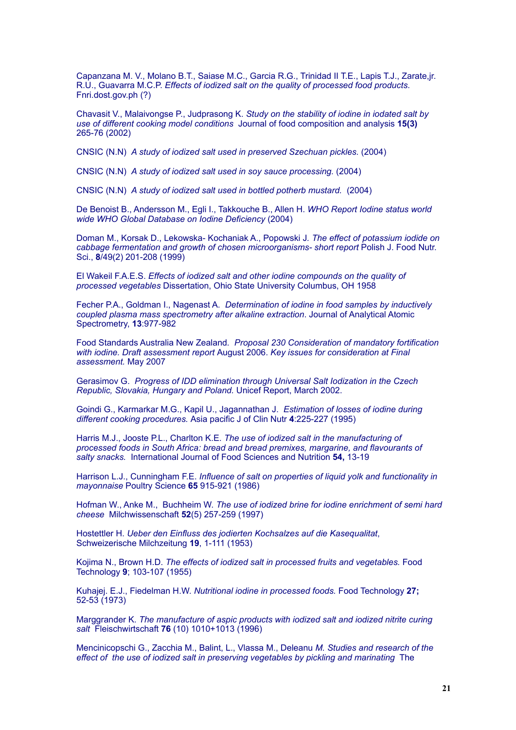Capanzana M. V., Molano B.T., Saiase M.C., Garcia R.G., Trinidad II T.E., Lapis T.J., Zarate,jr. R.U., Guavarra M.C.P. *Effects of iodized salt on the quality of processed food products*. Fnri.dost.gov.ph (?)

Chavasit V., Malaivongse P., Judprasong K. *Study on the stability of iodine in iodated salt by use of different cooking model conditions* Journal of food composition and analysis **15(3)**  265-76 (2002)

CNSIC (N.N) *A study of iodized salt used in preserved Szechuan pickles.* (2004)

CNSIC (N.N) *A study of iodized salt used in soy sauce processing.* (2004)

CNSIC (N.N) *A study of iodized salt used in bottled potherb mustard.* (2004)

De Benoist B., Andersson M., Egli I., Takkouche B., Allen H. *WHO Report Iodine status world wide WHO Global Database on Iodine Deficiency* (2004)

Doman M., Korsak D., Lekowska- Kochaniak A., Popowski J*. The effect of potassium iodide on cabbage fermentation and growth of chosen microorganisms- short report* Polish J. Food Nutr. Sci., **8**/49(2) 201-208 (1999)

El Wakeil F.A.E.S. *Effects of iodized salt and other iodine compounds on the quality of processed vegetables* Dissertation, Ohio State University Columbus, OH 1958

Fecher P.A., Goldman I., Nagenast A. *Determination of iodine in food samples by inductively coupled plasma mass spectrometry after alkaline extraction*. Journal of Analytical Atomic Spectrometry, **13**:977-982

Food Standards Australia New Zealand*. Proposal 230 Consideration of mandatory fortification with iodine. Draft assessment report* August 2006. *Key issues for consideration at Final assessment.* May 2007

Gerasimov G. *Progress of IDD elimination through Universal Salt Iodization in the Czech Republic, Slovakia, Hungary and Poland.* Unicef Report, March 2002.

Goindi G., Karmarkar M.G., Kapil U., Jagannathan J. *Estimation of losses of iodine during different cooking procedures.* Asia pacific J of Clin Nutr **4**:225-227 (1995)

Harris M.J., Jooste P.L., Charlton K.E. *The use of iodized salt in the manufacturing of processed foods in South Africa: bread and bread premixes, margarine, and flavourants of salty snacks.* International Journal of Food Sciences and Nutrition **54,** 13-19

Harrison L.J., Cunningham F.E. *Influence of salt on properties of liquid yolk and functionality in mayonnaise* Poultry Science **65** 915-921 (1986)

Hofman W., Anke M., Buchheim W. *The use of iodized brine for iodine enrichment of semi hard cheese* Milchwissenschaft **52**(5) 257-259 (1997)

Hostettler H. *Ueber den Einfluss des jodierten Kochsalzes auf die Kasequalitat*, Schweizerische Milchzeitung **19**, 1-111 (1953)

Kojima N., Brown H.D. *The effects of iodized salt in processed fruits and vegetables.* Food Technology **9**; 103-107 (1955)

Kuhajej. E.J., Fiedelman H.W. *Nutritional iodine in processed foods.* Food Technology **27;**  52-53 (1973)

Marggrander K. *The manufacture of aspic products with iodized salt and iodized nitrite curing salt* Fleischwirtschaft **76** (10) 1010+1013 (1996)

Mencinicopschi G., Zacchia M., Balint, L., Vlassa M., Deleanu *M. Studies and research of the effect of the use of iodized salt in preserving vegetables by pickling and marinating* The